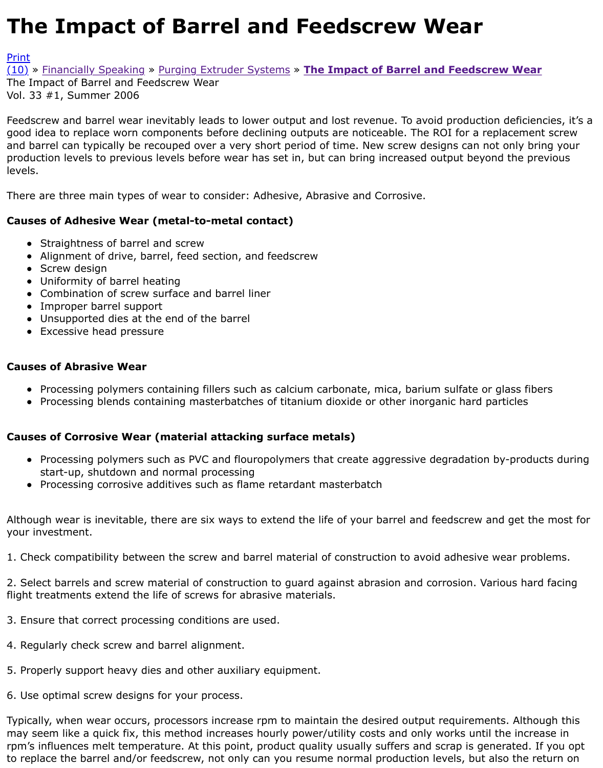Feedscrew and barrel wear inevitably leads to lower output and lost revenue. To avoid production de good idea to replace worn components before declining outputs are noticeable. The ROI for a replac and barrel can typically be recouped over a very short period of time. New screw designs can not or [produ](http://extrusionwiki.com/wiki/Print.aspx?Page=CC-V33-1-E)ction levels to previous levels before wear has set in, but can bring increased output beyond t [level](http://extrusionwiki.com/wiki/CC-V33-1-E.ashx#)s.

There are three main types of wear to consider: Adhesive, Abrasive and Corrosive.

## **Causes of Adhesive Wear (metal-to-metal contact)**

- Straightness of barrel and screw
- Alignment of drive, barrel, feed section, and feedscrew
- Screw design
- Uniformity of barrel heating
- Combination of screw surface and barrel liner
- Improper barrel support
- Unsupported dies at the end of the barrel
- Excessive head pressure

## **Causes of Abrasive Wear**

- Processing polymers containing fillers such as calcium carbonate, mica, barium sulfate or glas
- Processing blends containing masterbatches of titanium dioxide or other inorganic hard partic

## **Causes of Corrosive Wear (material attacking surface metals)**

- Processing polymers such as PVC and flouropolymers that create aggressive degradation bystart-up, shutdown and normal processing
- Processing corrosive additives such as flame retardant masterbatch

Although wear is inevitable, there are six ways to extend the life of your barrel and feedscrew and g your investment.

1. Check compatibility between the screw and barrel material of construction to avoid adhesive wea

2. Select barrels and screw material of construction to guard against abrasion and corrosion. Variou flight treatments extend the life of screws for abrasive materials.

- 3. Ensure that correct processing conditions are used.
- 4. Regularly check screw and barrel alignment.
- 5. Properly support heavy dies and other auxiliary equipment.
- 6. Use optimal screw designs for your process.

Typically, when wear occurs, processors increase rpm to maintain the desired output requirements. may seem like a quick fix, this method increases hourly power/utility costs and only works until the rpm's influences melt temperature. At this point, product quality usually suffers and scrap is genera to replace the barrel and/or feedscrew, not only can you resume normal production levels, but also